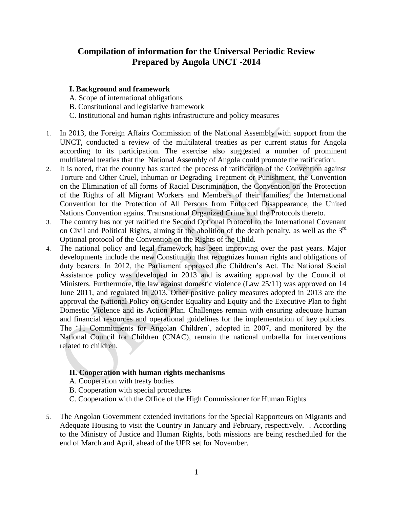# **Compilation of information for the Universal Periodic Review Prepared by Angola UNCT -2014**

### **I. Background and framework**

A. Scope of international obligations B. Constitutional and legislative framework C. Institutional and human rights infrastructure and policy measures

- 1. In 2013, the Foreign Affairs Commission of the National Assembly with support from the UNCT, conducted a review of the multilateral treaties as per current status for Angola according to its participation. The exercise also suggested a number of prominent multilateral treaties that the National Assembly of Angola could promote the ratification.
- 2. It is noted, that the country has started the process of ratification of the Convention against Torture and Other Cruel, Inhuman or Degrading Treatment or Punishment, the Convention on the Elimination of all forms of Racial Discrimination, the Convention on the Protection of the Rights of all Migrant Workers and Members of their families, the International Convention for the Protection of All Persons from Enforced Disappearance, the United Nations Convention against Transnational Organized Crime and the Protocols thereto.
- 3. The country has not yet ratified the Second Optional Protocol to the International Covenant on Civil and Political Rights, aiming at the abolition of the death penalty, as well as the  $3<sup>rd</sup>$ Optional protocol of the Convention on the Rights of the Child.
- 4. The national policy and legal framework has been improving over the past years. Major developments include the new Constitution that recognizes human rights and obligations of duty bearers. In 2012, the Parliament approved the Children's Act. The National Social Assistance policy was developed in 2013 and is awaiting approval by the Council of Ministers. Furthermore, the law against domestic violence (Law 25/11) was approved on 14 June 2011, and regulated in 2013. Other positive policy measures adopted in 2013 are the approval the National Policy on Gender Equality and Equity and the Executive Plan to fight Domestic Violence and its Action Plan. Challenges remain with ensuring adequate human and financial resources and operational guidelines for the implementation of key policies. The '11 Commitments for Angolan Children', adopted in 2007, and monitored by the National Council for Children (CNAC), remain the national umbrella for interventions related to children.

## **II. Cooperation with human rights mechanisms**

- A. Cooperation with treaty bodies
- B. Cooperation with special procedures
- C. Cooperation with the Office of the High Commissioner for Human Rights
- 5. The Angolan Government extended invitations for the Special Rapporteurs on Migrants and Adequate Housing to visit the Country in January and February, respectively. . According to the Ministry of Justice and Human Rights, both missions are being rescheduled for the end of March and April, ahead of the UPR set for November.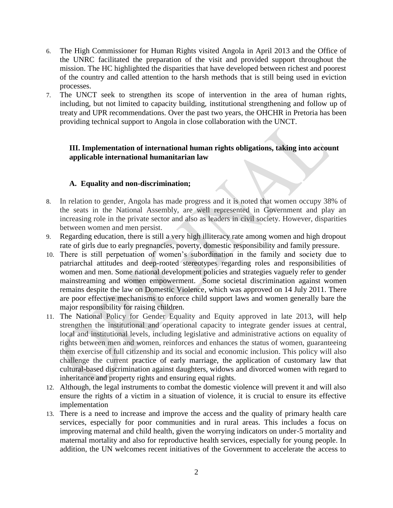- 6. The High Commissioner for Human Rights visited Angola in April 2013 and the Office of the UNRC facilitated the preparation of the visit and provided support throughout the mission. The HC highlighted the disparities that have developed between richest and poorest of the country and called attention to the harsh methods that is still being used in eviction processes.
- 7. The UNCT seek to strengthen its scope of intervention in the area of human rights, including, but not limited to capacity building, institutional strengthening and follow up of treaty and UPR recommendations. Over the past two years, the OHCHR in Pretoria has been providing technical support to Angola in close collaboration with the UNCT.

## **III. Implementation of international human rights obligations, taking into account applicable international humanitarian law**

## **A. Equality and non-discrimination;**

- 8. In relation to gender, Angola has made progress and it is noted that women occupy 38% of the seats in the National Assembly, are well represented in Government and play an increasing role in the private sector and also as leaders in civil society. However, disparities between women and men persist.
- 9. Regarding education, there is still a very high illiteracy rate among women and high dropout rate of girls due to early pregnancies, poverty, domestic responsibility and family pressure.
- 10. There is still perpetuation of women's subordination in the family and society due to patriarchal attitudes and deep-rooted stereotypes regarding roles and responsibilities of women and men. Some national development policies and strategies vaguely refer to gender mainstreaming and women empowerment. Some societal discrimination against women remains despite the law on Domestic Violence, which was approved on 14 July 2011. There are poor effective mechanisms to enforce child support laws and women generally bare the major responsibility for raising children.
- 11. The National Policy for Gender Equality and Equity approved in late 2013, will help strengthen the institutional and operational capacity to integrate gender issues at central, local and institutional levels, including legislative and administrative actions on equality of rights between men and women, reinforces and enhances the status of women, guaranteeing them exercise of full citizenship and its social and economic inclusion. This policy will also challenge the current practice of early marriage, the application of customary law that cultural-based discrimination against daughters, widows and divorced women with regard to inheritance and property rights and ensuring equal rights.
- 12. Although, the legal instruments to combat the domestic violence will prevent it and will also ensure the rights of a victim in a situation of violence, it is crucial to ensure its effective implementation
- 13. There is a need to increase and improve the access and the quality of primary health care services, especially for poor communities and in rural areas. This includes a focus on improving maternal and child health, given the worrying indicators on under-5 mortality and maternal mortality and also for reproductive health services, especially for young people. In addition, the UN welcomes recent initiatives of the Government to accelerate the access to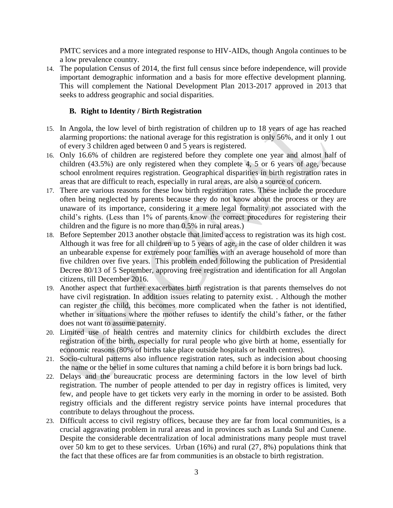PMTC services and a more integrated response to HIV-AIDs, though Angola continues to be a low prevalence country.

14. The population Census of 2014, the first full census since before independence, will provide important demographic information and a basis for more effective development planning. This will complement the National Development Plan 2013-2017 approved in 2013 that seeks to address geographic and social disparities.

## **B. Right to Identity / Birth Registration**

- 15. In Angola, the low level of birth registration of children up to 18 years of age has reached alarming proportions: the national average for this registration is only 56%, and it only 1 out of every 3 children aged between 0 and 5 years is registered.
- 16. Only 16.6% of children are registered before they complete one year and almost half of children (43.5%) are only registered when they complete 4, 5 or 6 years of age, because school enrolment requires registration. Geographical disparities in birth registration rates in areas that are difficult to reach, especially in rural areas, are also a source of concern.
- 17. There are various reasons for these low birth registration rates. These include the procedure often being neglected by parents because they do not know about the process or they are unaware of its importance, considering it a mere legal formality not associated with the child's rights. (Less than 1% of parents know the correct procedures for registering their children and the figure is no more than 0.5% in rural areas.)
- 18. Before September 2013 another obstacle that limited access to registration was its high cost. Although it was free for all children up to 5 years of age, in the case of older children it was an unbearable expense for extremely poor families with an average household of more than five children over five years. This problem ended following the publication of Presidential Decree 80/13 of 5 September, approving free registration and identification for all Angolan citizens, till December 2016.
- 19. Another aspect that further exacerbates birth registration is that parents themselves do not have civil registration. In addition issues relating to paternity exist. . Although the mother can register the child, this becomes more complicated when the father is not identified, whether in situations where the mother refuses to identify the child's father, or the father does not want to assume paternity.
- 20. Limited use of health centres and maternity clinics for childbirth excludes the direct registration of the birth, especially for rural people who give birth at home, essentially for economic reasons (80% of births take place outside hospitals or health centres).
- 21. Socio-cultural patterns also influence registration rates, such as indecision about choosing the name or the belief in some cultures that naming a child before it is born brings bad luck.
- 22. Delays and the bureaucratic process are determining factors in the low level of birth registration. The number of people attended to per day in registry offices is limited, very few, and people have to get tickets very early in the morning in order to be assisted. Both registry officials and the different registry service points have internal procedures that contribute to delays throughout the process.
- 23. Difficult access to civil registry offices, because they are far from local communities, is a crucial aggravating problem in rural areas and in provinces such as Lunda Sul and Cunene. Despite the considerable decentralization of local administrations many people must travel over 50 km to get to these services. Urban (16%) and rural (27, 8%) populations think that the fact that these offices are far from communities is an obstacle to birth registration.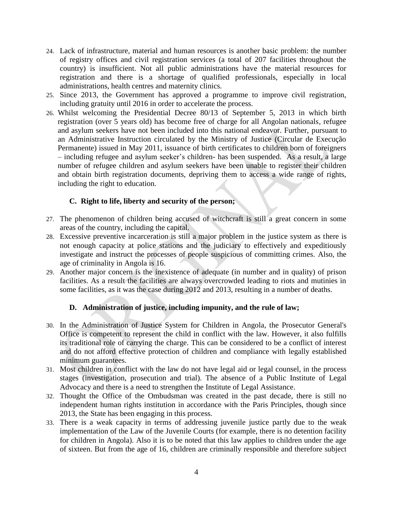- 24. Lack of infrastructure, material and human resources is another basic problem: the number of registry offices and civil registration services (a total of 207 facilities throughout the country) is insufficient. Not all public administrations have the material resources for registration and there is a shortage of qualified professionals, especially in local administrations, health centres and maternity clinics.
- 25. Since 2013, the Government has approved a programme to improve civil registration, including gratuity until 2016 in order to accelerate the process.
- 26. Whilst welcoming the Presidential Decree 80/13 of September 5, 2013 in which birth registration (over 5 years old) has become free of charge for all Angolan nationals, refugee and asylum seekers have not been included into this national endeavor. Further, pursuant to an Administrative Instruction circulated by the Ministry of Justice (Circular de Execução Permanente) issued in May 2011, issuance of birth certificates to children born of foreigners – including refugee and asylum seeker's children- has been suspended. As a result, a large number of refugee children and asylum seekers have been unable to register their children and obtain birth registration documents, depriving them to access a wide range of rights, including the right to education.

## **C. Right to life, liberty and security of the person;**

- 27. The phenomenon of children being accused of witchcraft is still a great concern in some areas of the country, including the capital.
- 28. Excessive preventive incarceration is still a major problem in the justice system as there is not enough capacity at police stations and the judiciary to effectively and expeditiously investigate and instruct the processes of people suspicious of committing crimes. Also, the age of criminality in Angola is 16.
- 29. Another major concern is the inexistence of adequate (in number and in quality) of prison facilities. As a result the facilities are always overcrowded leading to riots and mutinies in some facilities, as it was the case during 2012 and 2013, resulting in a number of deaths.

## **D. Administration of justice, including impunity, and the rule of law;**

- 30. In the Administration of Justice System for Children in Angola, the Prosecutor General's Office is competent to represent the child in conflict with the law. However, it also fulfills its traditional role of carrying the charge. This can be considered to be a conflict of interest and do not afford effective protection of children and compliance with legally established minimum guarantees.
- 31. Most children in conflict with the law do not have legal aid or legal counsel, in the process stages (investigation, prosecution and trial). The absence of a Public Institute of Legal Advocacy and there is a need to strengthen the Institute of Legal Assistance.
- 32. Thought the Office of the Ombudsman was created in the past decade, there is still no independent human rights institution in accordance with the Paris Principles, though since 2013, the State has been engaging in this process.
- 33. There is a weak capacity in terms of addressing juvenile justice partly due to the weak implementation of the Law of the Juvenile Courts (for example, there is no detention facility for children in Angola). Also it is to be noted that this law applies to children under the age of sixteen. But from the age of 16, children are criminally responsible and therefore subject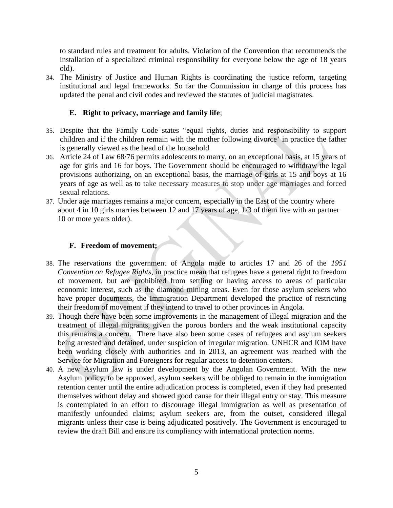to standard rules and treatment for adults. Violation of the Convention that recommends the installation of a specialized criminal responsibility for everyone below the age of 18 years old).

34. The Ministry of Justice and Human Rights is coordinating the justice reform, targeting institutional and legal frameworks. So far the Commission in charge of this process has updated the penal and civil codes and reviewed the statutes of judicial magistrates.

## **E. Right to privacy, marriage and family life**;

- 35. Despite that the Family Code states "equal rights, duties and responsibility to support children and if the children remain with the mother following divorce' in practice the father is generally viewed as the head of the household
- 36. Article 24 of Law 68/76 permits adolescents to marry, on an exceptional basis, at 15 years of age for girls and 16 for boys. The Government should be encouraged to withdraw the legal provisions authorizing, on an exceptional basis, the marriage of girls at 15 and boys at 16 years of age as well as to take necessary measures to stop under age marriages and forced sexual relations.
- 37. Under age marriages remains a major concern, especially in the East of the country where about 4 in 10 girls marries between 12 and 17 years of age, 1/3 of them live with an partner 10 or more years older).

## **F. Freedom of movement;**

- 38. The reservations the government of Angola made to articles 17 and 26 of the *1951 Convention on Refugee Rights,* in practice mean that refugees have a general right to freedom of movement, but are prohibited from settling or having access to areas of particular economic interest, such as the diamond mining areas. Even for those asylum seekers who have proper documents, the Immigration Department developed the practice of restricting their freedom of movement if they intend to travel to other provinces in Angola.
- 39. Though there have been some improvements in the management of illegal migration and the treatment of illegal migrants, given the porous borders and the weak institutional capacity this remains a concern. There have also been some cases of refugees and asylum seekers being arrested and detained, under suspicion of irregular migration. UNHCR and IOM have been working closely with authorities and in 2013, an agreement was reached with the Service for Migration and Foreigners for regular access to detention centers.
- 40. A new Asylum law is under development by the Angolan Government. With the new Asylum policy, to be approved, asylum seekers will be obliged to remain in the immigration retention center until the entire adjudication process is completed, even if they had presented themselves without delay and showed good cause for their illegal entry or stay. This measure is contemplated in an effort to discourage illegal immigration as well as presentation of manifestly unfounded claims; asylum seekers are, from the outset, considered illegal migrants unless their case is being adjudicated positively. The Government is encouraged to review the draft Bill and ensure its compliancy with international protection norms.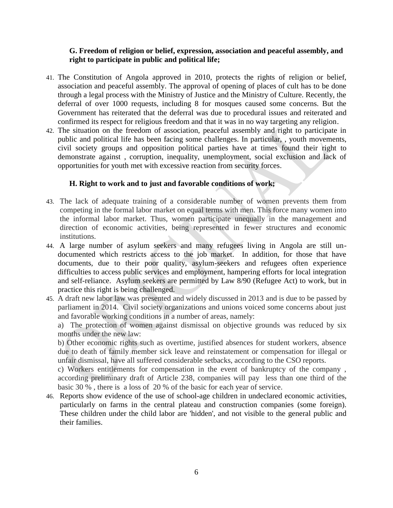### **G. Freedom of religion or belief, expression, association and peaceful assembly, and right to participate in public and political life;**

- 41. The Constitution of Angola approved in 2010, protects the rights of religion or belief, association and peaceful assembly. The approval of opening of places of cult has to be done through a legal process with the Ministry of Justice and the Ministry of Culture. Recently, the deferral of over 1000 requests, including 8 for mosques caused some concerns. But the Government has reiterated that the deferral was due to procedural issues and reiterated and confirmed its respect for religious freedom and that it was in no way targeting any religion.
- 42. The situation on the freedom of association, peaceful assembly and right to participate in public and political life has been facing some challenges. In particular, , youth movements, civil society groups and opposition political parties have at times found their right to demonstrate against , corruption, inequality, unemployment, social exclusion and lack of opportunities for youth met with excessive reaction from security forces.

### **H. Right to work and to just and favorable conditions of work;**

- 43. The lack of adequate training of a considerable number of women prevents them from competing in the formal labor market on equal terms with men. This force many women into the informal labor market. Thus, women participate unequally in the management and direction of economic activities, being represented in fewer structures and economic institutions.
- 44. A large number of asylum seekers and many refugees living in Angola are still undocumented which restricts access to the job market. In addition, for those that have documents, due to their poor quality, asylum-seekers and refugees often experience difficulties to access public services and employment, hampering efforts for local integration and self-reliance. Asylum seekers are permitted by Law 8/90 (Refugee Act) to work, but in practice this right is being challenged.
- 45. A draft new labor law was presented and widely discussed in 2013 and is due to be passed by parliament in 2014. Civil society organizations and unions voiced some concerns about just and favorable working conditions in a number of areas, namely:

a) The protection of women against dismissal on objective grounds was reduced by six months under the new law:

b) Other economic rights such as overtime, justified absences for student workers, absence due to death of family member sick leave and reinstatement or compensation for illegal or unfair dismissal, have all suffered considerable setbacks, according to the CSO reports.

c) Workers entitlements for compensation in the event of bankruptcy of the company , according preliminary draft of Article 238, companies will pay less than one third of the basic 30 % , there is a loss of 20 % of the basic for each year of service.

46. Reports show evidence of the use of school-age children in undeclared economic activities, particularly on farms in the central plateau and construction companies (some foreign). These children under the child labor are 'hidden', and not visible to the general public and their families.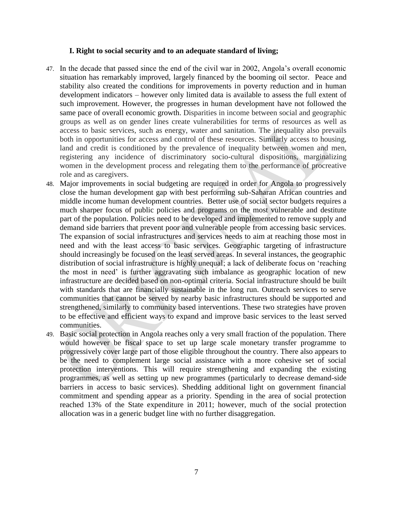#### **I. Right to social security and to an adequate standard of living;**

- 47. In the decade that passed since the end of the civil war in 2002, Angola's overall economic situation has remarkably improved, largely financed by the booming oil sector. Peace and stability also created the conditions for improvements in poverty reduction and in human development indicators – however only limited data is available to assess the full extent of such improvement. However, the progresses in human development have not followed the same pace of overall economic growth. Disparities in income between social and geographic groups as well as on gender lines create vulnerabilities for terms of resources as well as access to basic services, such as energy, water and sanitation. The inequality also prevails both in opportunities for access and control of these resources. Similarly access to housing, land and credit is conditioned by the prevalence of inequality between women and men, registering any incidence of discriminatory socio-cultural dispositions, marginalizing women in the development process and relegating them to the performance of procreative role and as caregivers.
- 48. Major improvements in social budgeting are required in order for Angola to progressively close the human development gap with best performing sub-Saharan African countries and middle income human development countries. Better use of social sector budgets requires a much sharper focus of public policies and programs on the most vulnerable and destitute part of the population. Policies need to be developed and implemented to remove supply and demand side barriers that prevent poor and vulnerable people from accessing basic services. The expansion of social infrastructures and services needs to aim at reaching those most in need and with the least access to basic services. Geographic targeting of infrastructure should increasingly be focused on the least served areas. In several instances, the geographic distribution of social infrastructure is highly unequal; a lack of deliberate focus on 'reaching the most in need' is further aggravating such imbalance as geographic location of new infrastructure are decided based on non-optimal criteria. Social infrastructure should be built with standards that are financially sustainable in the long run. Outreach services to serve communities that cannot be served by nearby basic infrastructures should be supported and strengthened, similarly to community based interventions. These two strategies have proven to be effective and efficient ways to expand and improve basic services to the least served communities.
- 49. Basic social protection in Angola reaches only a very small fraction of the population. There would however be fiscal space to set up large scale monetary transfer programme to progressively cover large part of those eligible throughout the country. There also appears to be the need to complement large social assistance with a more cohesive set of social protection interventions. This will require strengthening and expanding the existing programmes, as well as setting up new programmes (particularly to decrease demand-side barriers in access to basic services). Shedding additional light on government financial commitment and spending appear as a priority. Spending in the area of social protection reached 13% of the State expenditure in 2011; however, much of the social protection allocation was in a generic budget line with no further disaggregation.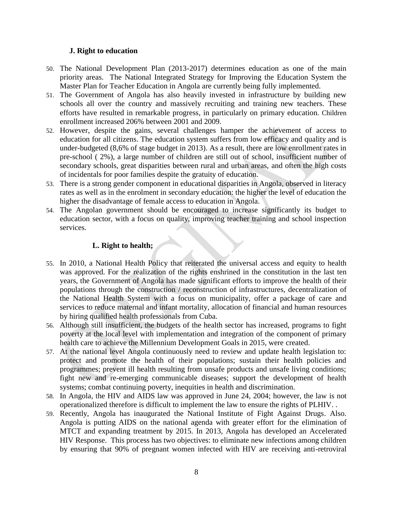### **J. Right to education**

- 50. The National Development Plan (2013-2017) determines education as one of the main priority areas. The National Integrated Strategy for Improving the Education System the Master Plan for Teacher Education in Angola are currently being fully implemented.
- 51. The Government of Angola has also heavily invested in infrastructure by building new schools all over the country and massively recruiting and training new teachers. These efforts have resulted in remarkable progress, in particularly on primary education. Children enrollment increased 206% between 2001 and 2009.
- 52. However, despite the gains, several challenges hamper the achievement of access to education for all citizens. The education system suffers from low efficacy and quality and is under-budgeted (8,6% of stage budget in 2013). As a result, there are low enrollment rates in pre-school ( 2%), a large number of children are still out of school, insufficient number of secondary schools, great disparities between rural and urban areas, and often the high costs of incidentals for poor families despite the gratuity of education.
- 53. There is a strong gender component in educational disparities in Angola, observed in literacy rates as well as in the enrolment in secondary education: the higher the level of education the higher the disadvantage of female access to education in Angola.
- 54. The Angolan government should be encouraged to increase significantly its budget to education sector, with a focus on quality, improving teacher training and school inspection services.

## **L. Right to health;**

- 55. In 2010, a National Health Policy that reiterated the universal access and equity to health was approved. For the realization of the rights enshrined in the constitution in the last ten years, the Government of Angola has made significant efforts to improve the health of their populations through the construction / reconstruction of infrastructures, decentralization of the National Health System with a focus on municipality, offer a package of care and services to reduce maternal and infant mortality, allocation of financial and human resources by hiring qualified health professionals from Cuba.
- 56. Although still insufficient, the budgets of the health sector has increased, programs to fight poverty at the local level with implementation and integration of the component of primary health care to achieve the Millennium Development Goals in 2015, were created.
- 57. At the national level Angola continuously need to review and update health legislation to: protect and promote the health of their populations; sustain their health policies and programmes; prevent ill health resulting from unsafe products and unsafe living conditions; fight new and re-emerging communicable diseases; support the development of health systems; combat continuing poverty, inequities in health and discrimination.
- 58. In Angola, the HIV and AIDS law was approved in June 24, 2004; however, the law is not operationalized therefore is difficult to implement the law to ensure the rights of PLHIV. .
- 59. Recently, Angola has inaugurated the National Institute of Fight Against Drugs. Also. Angola is putting AIDS on the national agenda with greater effort for the elimination of MTCT and expanding treatment by 2015. In 2013, Angola has developed an Accelerated HIV Response. This process has two objectives: to eliminate new infections among children by ensuring that 90% of pregnant women infected with HIV are receiving anti-retroviral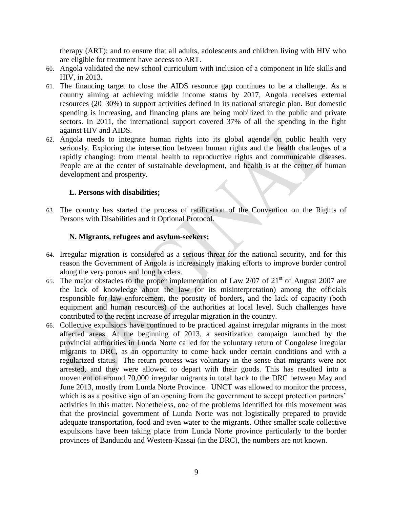therapy (ART); and to ensure that all adults, adolescents and children living with HIV who are eligible for treatment have access to ART.

- 60. Angola validated the new school curriculum with inclusion of a component in life skills and HIV, in 2013.
- 61. The financing target to close the AIDS resource gap continues to be a challenge. As a country aiming at achieving middle income status by 2017, Angola receives external resources (20–30%) to support activities defined in its national strategic plan. But domestic spending is increasing, and financing plans are being mobilized in the public and private sectors. In 2011, the international support covered 37% of all the spending in the fight against HIV and AIDS.
- 62. Angola needs to integrate human rights into its global agenda on public health very seriously. Exploring the intersection between human rights and the health challenges of a rapidly changing: from mental health to reproductive rights and communicable diseases. People are at the center of sustainable development, and health is at the center of human development and prosperity.

### **L. Persons with disabilities;**

63. The country has started the process of ratification of the Convention on the Rights of Persons with Disabilities and it Optional Protocol.

### **N. Migrants, refugees and asylum-seekers;**

- 64. Irregular migration is considered as a serious threat for the national security, and for this reason the Government of Angola is increasingly making efforts to improve border control along the very porous and long borders.
- 65. The major obstacles to the proper implementation of Law  $2/07$  of  $21<sup>st</sup>$  of August 2007 are the lack of knowledge about the law (or its misinterpretation) among the officials responsible for law enforcement, the porosity of borders, and the lack of capacity (both equipment and human resources) of the authorities at local level. Such challenges have contributed to the recent increase of irregular migration in the country.
- 66. Collective expulsions have continued to be practiced against irregular migrants in the most affected areas. At the beginning of 2013, a sensitization campaign launched by the provincial authorities in Lunda Norte called for the voluntary return of Congolese irregular migrants to DRC, as an opportunity to come back under certain conditions and with a regularized status. The return process was voluntary in the sense that migrants were not arrested, and they were allowed to depart with their goods. This has resulted into a movement of around 70,000 irregular migrants in total back to the DRC between May and June 2013, mostly from Lunda Norte Province. UNCT was allowed to monitor the process, which is as a positive sign of an opening from the government to accept protection partners' activities in this matter. Nonetheless, one of the problems identified for this movement was that the provincial government of Lunda Norte was not logistically prepared to provide adequate transportation, food and even water to the migrants. Other smaller scale collective expulsions have been taking place from Lunda Norte province particularly to the border provinces of Bandundu and Western-Kassai (in the DRC), the numbers are not known.